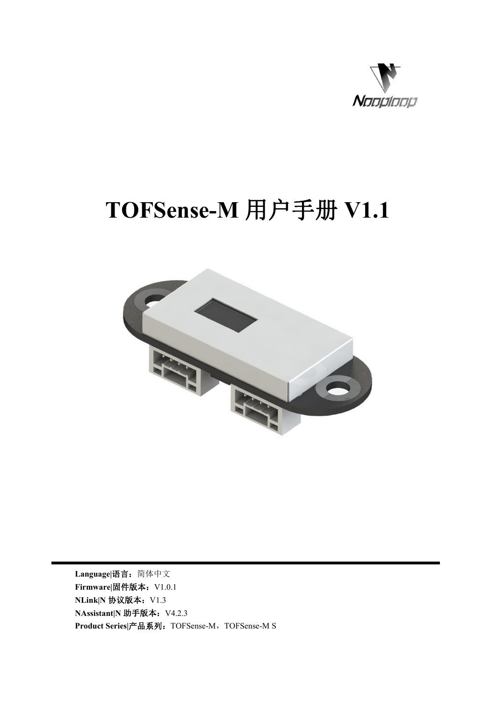

# **TOFSense-M** 用户手册 **V1.1**



**Language|**语言:简体中文 **Firmware|**固件版本:V1.0.1 **NLink|N** 协议版本: V1.3 **NAssistant** N 助手版本: V4.2.3 **Product Series|**产品系列:TOFSense-M,TOFSense-M S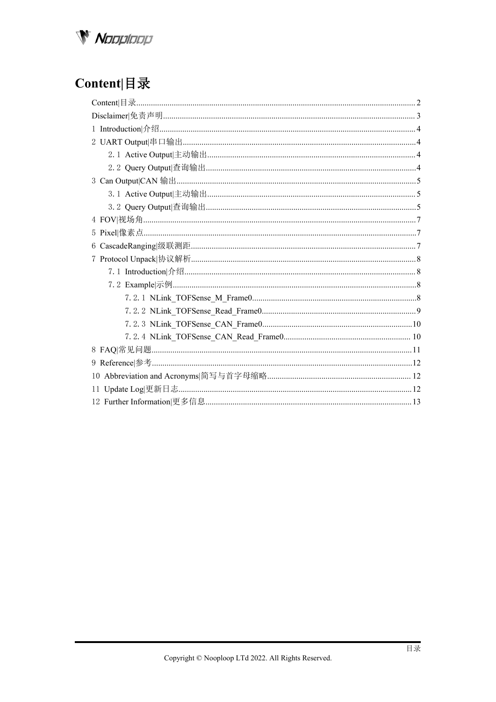

# <span id="page-1-0"></span>Content | 目录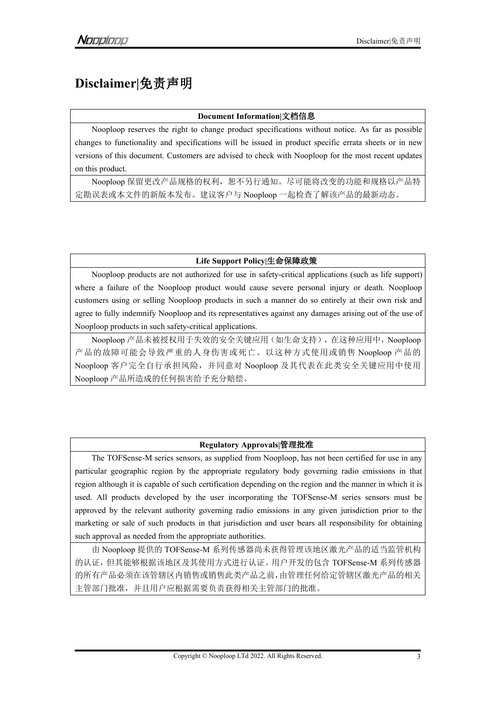# <span id="page-2-0"></span>**Disclaimer|**免责声明

#### **Document Information|**文档信息

Nooploop reserves the right to change product specifications without notice. As far as possible changes to functionality and specifications will be issued in product specific errata sheets or in new versions of this document. Customers are advised to check with Nooploop for the most recent updates on this product.

Nooploop 保留更改产品规格的权利,恕不另行通知。尽可能将改变的功能和规格以产品特 定勘误表或本文件的新版本发布。建议客户与 Nooploop 一起检查了解该产品的最新动态。

### **Life Support Policy|**生命保障政策

Nooploop products are not authorized for use in safety-critical applications (such as life support) where a failure of the Nooploop product would cause severe personal injury or death. Nooploop customers using or selling Nooploop products in such a manner do so entirely at their own risk and agree to fully indemnify Nooploop and its representatives against any damages arising out of the use of Nooploop products in such safety-critical applications.

Nooploop 产品未被授权用于失效的安全关键应用(如生命支持),在这种应用中,Nooploop 产品的故障可能会导致严重的人身伤害或死亡。以这种方式使用或销售 Nooploop 产品的 Nooploop 客户完全自行承担风险,并同意对 Nooploop 及其代表在此类安全关键应用中使用 Nooploop 产品所造成的任何损害给予充分赔偿。

### **Regulatory Approvals|**管理批准

The TOFSense-M series sensors, as supplied from Nooploop, has not been certified for use in any particular geographic region by the appropriate regulatory body governing radio emissions in that region although it is capable of such certification depending on the region and the manner in which it is used. All products developed by the user incorporating the TOFSense-M series sensors must be approved by the relevant authority governing radio emissions in any given jurisdiction prior to the marketing or sale of such products in that jurisdiction and user bears all responsibility for obtaining such approval as needed from the appropriate authorities.

由 Nooploop 提供的 TOFSense-M 系列传感器尚未获得管理该地区激光产品的适当监管机构 的认证,但其能够根据该地区及其使用方式进行认证。用户开发的包含 TOFSense-M 系列传感器 的所有产品必须在该管辖区内销售或销售此类产品之前,由管理任何给定管辖区激光产品的相关 主管部门批准,并且用户应根据需要负责获得相关主管部门的批准。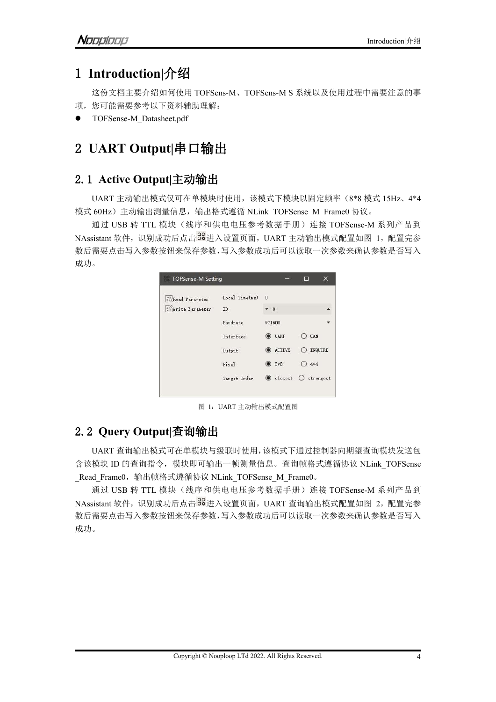# <span id="page-3-0"></span>1 **Introduction|**介绍

这份文档主要介绍如何使用 TOFSens-M、TOFSens-M S 系统以及使用过程中需要注意的事 项,您可能需要参考以下资料辅助理解:

TOFSense-M\_Datasheet.pdf

# <span id="page-3-1"></span>2 **UART Output|**串口输出

### <span id="page-3-2"></span>2.1 **Active Output|**主动输出

UART 主动输出模式仅可在单模块时使用,该模式下模块以固定频率(8\*8 模式 15Hz、4\*4 模式 60Hz) 主动输出测量信息, 输出格式遵循 NLink\_TOFSense\_M\_Frame0 协议。

通过 USB 转 TTL 模块(线序和供电电压参考数据手册)连接 TOFSense-M 系列产品到 NAssistant 软件, 识别成功后点击 88 进入设置页面, UART 主动输出模式配置如图 1, 配置完参 数后需要点击写入参数按钮来保存参数,写入参数成功后可以读取一次参数来确认参数是否写入 成功。

| TOFSense-M Setting |                 |             | ▣         |  |
|--------------------|-----------------|-------------|-----------|--|
| Read Parameter     | Local Time(msg) | $\Omega$    |           |  |
| Write Parameter    | ID              | $\bullet$ 0 |           |  |
|                    | Baudrate        | 921600      |           |  |
|                    | Interface       | UART        | CAN       |  |
|                    | Output          | ACTIVE      | INQUIRE   |  |
|                    | Pixel           | $8*8$       | $4*4$     |  |
|                    | Target Order    | losest      | strongest |  |
|                    |                 |             |           |  |

图 1:UART 主动输出模式配置图

### <span id="page-3-3"></span>2.2 **Query Output|**查询输出

UART 查询输出模式可在单模块与级联时使用,该模式下通过控制器向期望查询模块发送包 含该模块 ID 的查询指令, 模块即可输出一帧测量信息。查询帧格式遵循协议 NLink TOFSense \_Read\_Frame0,输出帧格式遵循协议 NLink\_TOFSense\_M\_Frame0。

通过 USB 转 TTL 模块(线序和供电电压参考数据手册)连接 TOFSense-M 系列产品到 NAssistant 软件, 识别成功后点击 8% 进入设置页面, UART 查询输出模式配置如图 2, 配置完参 数后需要点击写入参数按钮来保存参数,写入参数成功后可以读取一次参数来确认参数是否写入 成功。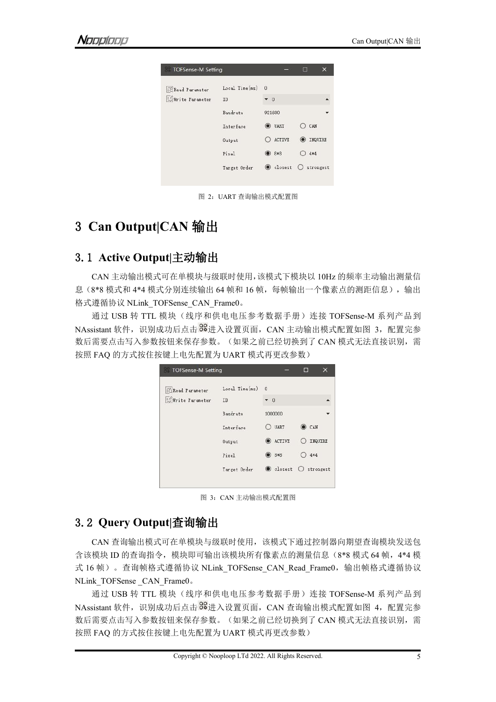| TOFSense-M Setting     |                |               | 圖             |
|------------------------|----------------|---------------|---------------|
| <b>CRead Parameter</b> | Local Time(ms) | $\Omega$      |               |
| Write Parameter        | ID             | $\star$ 0     |               |
|                        | Baudrate       | 921600        |               |
|                        | Interface      | <b>O</b> VART | CAN           |
|                        | Output         | <b>ACTIVE</b> | INQUIRE       |
|                        | Pixel          | 8*8           | $4*4$         |
|                        | Target Order   | losest        | $O$ strongest |

图 2:UART 查询输出模式配置图

## <span id="page-4-0"></span>3 **Can Output|CAN** 输出

### <span id="page-4-1"></span>3.1 **Active Output|**主动输出

CAN 主动输出模式可在单模块与级联时使用,该模式下模块以 10Hz 的频率主动输出测量信 息(8\*8 模式和 4\*4 模式分别连续输出 64 帧和 16 帧,每帧输出一个像素点的测距信息),输出 格式遵循协议 NLink\_TOFSense\_CAN\_Frame0。

通过 USB 转 TTL 模块 (线序和供电电压参考数据手册) 连接 TOFSense-M 系列产品到 NAssistant 软件, 识别成功后点击 8 进入设置页面, CAN 主动输出模式配置如图 3, 配置完参 数后需要点击写入参数按钮来保存参数。(如果之前已经切换到了 CAN 模式无法直接识别,需 按照 FAQ 的方式按住按键上电先配置为 UART 模式再更改参数)

| TOFSense-M Setting                |                      |                  | m         |
|-----------------------------------|----------------------|------------------|-----------|
| Read Parameter<br>Write Parameter | Local Time(ns)<br>ID | $\Omega$<br>$-0$ |           |
|                                   | Baudrate             | 1000000          |           |
|                                   | Interface            | <b>UART</b>      | CAN       |
|                                   | Output               | ACTIVE           | INQUIRE   |
|                                   | Pixel                | $9 * 8$          | $4*4$     |
|                                   | Target Order         | losest           | strongest |
|                                   |                      |                  |           |

图 3:CAN 主动输出模式配置图

### <span id="page-4-2"></span>3.2 **Query Output|**查询输出

CAN 查询输出模式可在单模块与级联时使用,该模式下通过控制器向期望查询模块发送包 含该模块 ID 的查询指令,模块即可输出该模块所有像素点的测量信息(8\*8 模式 64 帧, 4\*4 模 式 16 帧)。查询帧格式遵循协议 NLink TOFSense CAN Read Frame0, 输出帧格式遵循协议 NLink\_TOFSense\_CAN\_Frame0。

通过 USB 转 TTL 模块(线序和供电电压参考数据手册)连接 TOFSense-M 系列产品到 NAssistant 软件, 识别成功后点击 8% 讲入设置页面, CAN 杳询输出模式配置如图 4, 配置完参 数后需要点击写入参数按钮来保存参数。(如果之前已经切换到了 CAN 模式无法直接识别, 需 按照 FAQ 的方式按住按键上电先配置为 UART 模式再更改参数)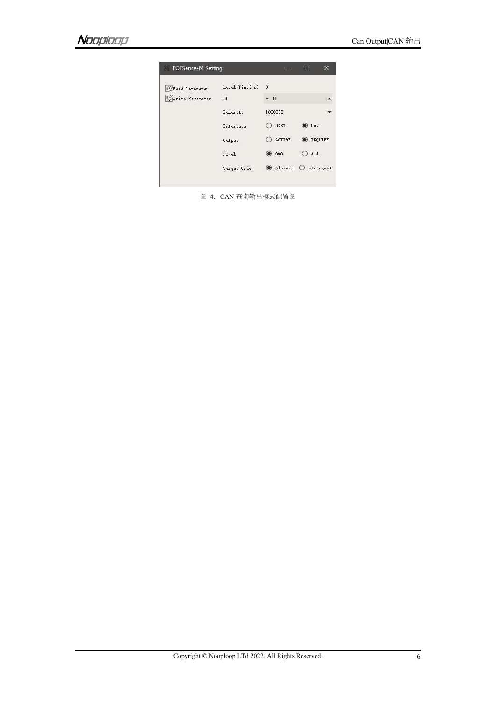| TOFSense-M Setting      |                |             | m<br>×    |
|-------------------------|----------------|-------------|-----------|
| <b>Exceed Parameter</b> | Local Time(ms) | $\Omega$    |           |
| Write Parameter         | ID             | $\bullet$ 0 |           |
|                         | Baudrate       | 1000000     |           |
|                         | Interface      | <b>UART</b> | CAN       |
|                         | Output         | ACTIVE      | INQUIRE   |
|                         | Pixel          | $8*8$       | $4*4$     |
|                         | Target Order   | losest      | strongest |
|                         |                |             |           |

图 4:CAN 查询输出模式配置图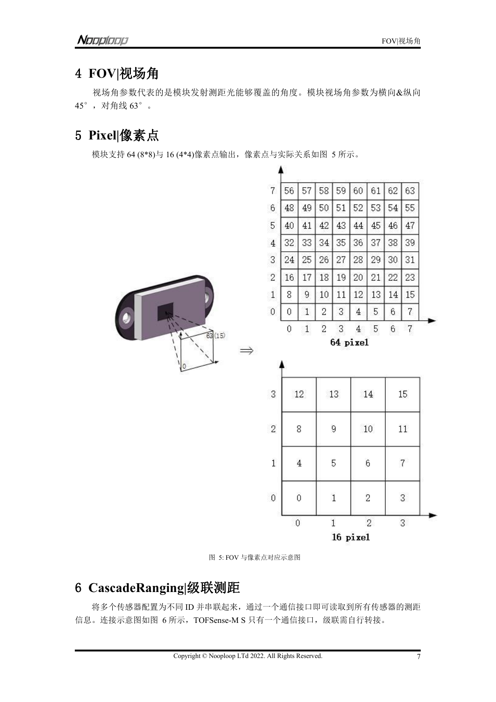# <span id="page-6-0"></span>4 **FOV|**视场角

视场角参数代表的是模块发射测距光能够覆盖的角度。模块视场角参数为横向&纵向 45°,对角线 63°。

# <span id="page-6-1"></span>5 **Pixel|**像素点

模块支持 64 (8\*8)与 16 (4\*4)像素点输出,像素点与实际关系如图 5 所示。



图 5: FOV 与像素点对应示意图

### <span id="page-6-2"></span>6 **CascadeRanging|**级联测距

将多个传感器配置为不同 ID 并串联起来,通过一个通信接口即可读取到所有传感器的测距 信息。连接示意图如图 6 所示, TOFSense-M S 只有一个通信接口, 级联需自行转接。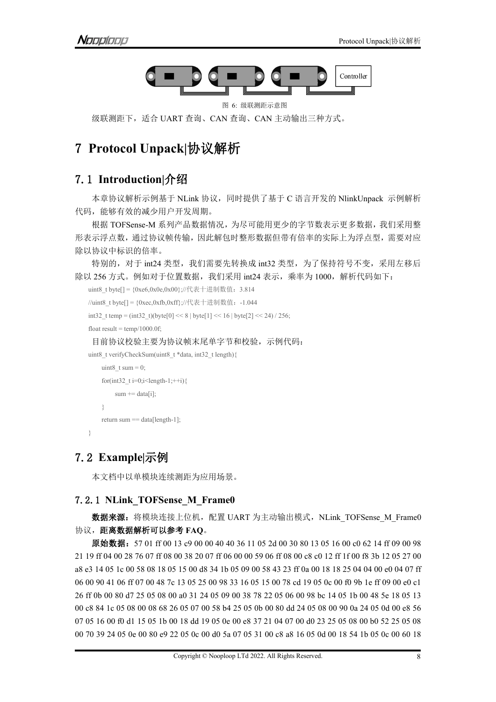

图 6: 级联测距示意图

# <span id="page-7-0"></span>7 **Protocol Unpack|**协议解析

### <span id="page-7-1"></span>7.1 **Introduction|**介绍

本章协议解析示例基于 NLink 协议,同时提供了基于 C 语言开发的 NlinkUnpack 示例解析 代码,能够有效的减少用户开发周期。

根据 TOFSense-M 系列产品数据情况,为尽可能用更少的字节数表示更多数据,我们采用整 形表示浮点数,通过协议帧传输,因此解包时整形数据但带有倍率的实际上为浮点型,需要对应 除以协议中标识的倍率。

特别的,对于 int24 类型,我们需要先转换成 int32 类型, 为了保持符号不变, 采用左移后 除以 256 方式。例如对于位置数据,我们采用 int24 表示,乘率为 1000, 解析代码如下:

```
uint8_t byte[] = {0xe6,0x0e,0x00};//代表十进制数值:3.814
//uint8_t byte[] = {0xec,0xfb,0xff};//代表十进制数值:-1.044
int32 t temp = (int32 t)(byte[0] << 8 | byte[1] << 16 | byte[2] << 24) / 256;
float result = temp/1000.0f;目前协议校验主要为协议帧末尾单字节和校验,示例代码:
uint8_t verifyCheckSum(uint8_t *data, int32_t length){
```

```
uint8 t sum = 0;
   for(int32 t i=0;i<length-1;++i){
      sum += data[i];}
   return sum == data[length-1];
}
```
### 7.2 **Example|**示例

<span id="page-7-3"></span>本文档中以单模块连续测距为应用场景。

### 7.2.1 **NLink\_TOFSense\_M\_Frame0**

数据来源: 将模块连接上位机, 配置 UART 为主动输出模式, NLink TOFSense M Frame0 协议,距离数据解析可以参考 **FAQ**。

原始数据:57 01 ff 00 13 c9 00 00 40 40 36 11 05 2d 00 30 80 13 05 16 00 c0 62 14 ff 09 00 98 19 ff 04 00 28 76 07 ff 08 00 38 20 07 ff 06 00 00 59 06 ff 08 00 c8 c0 12 ff 1f 00 f8 3b 12 05 27 00 a8 e3 14 05 1c 00 58 08 18 05 15 00 d8 34 1b 05 09 00 58 43 23 ff 0a 00 18 18 25 04 04 00 e0 04 07 ff 00 90 41 06 ff 07 00 48 7c 13 05 25 00 98 33 16 05 15 00 78 cd 19 05 0c 00 f0 9b 1e ff 09 00 e0 c1 ff 0b 00 80 d7 25 05 08 00 a0 31 24 05 09 00 38 78 22 05 06 00 98 bc 14 05 1b 00 48 5e 18 05 13 c8 84 1c 05 08 00 08 68 26 05 07 00 58 b4 25 05 0b 00 80 dd 24 05 08 00 90 0a 24 05 0d 00 e8 56 05 16 00 f0 d1 15 05 1b 00 18 dd 19 05 0e 00 e8 37 21 04 07 00 d0 23 25 05 08 00 b0 52 25 05 08 70 39 24 05 0e 00 80 e9 22 05 0c 00 d0 5a 07 05 31 00 c8 a8 16 05 0d 00 18 54 1b 05 0c 00 60 18

级联测距下,适合 UART 查询、CAN 查询、CAN 主动输出三种方式。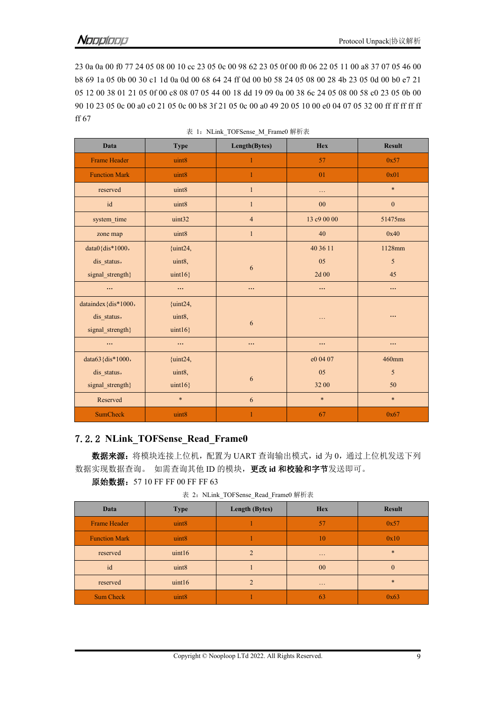23 0a 0a 00 f0 77 24 05 08 00 10 cc 23 05 0c 00 98 62 23 05 0f 00 f0 06 22 05 11 00 a8 37 07 05 46 00 b8 69 1a 05 0b 00 30 c1 1d 0a 0d 00 68 64 24 ff 0d 00 b0 58 24 05 08 00 28 4b 23 05 0d 00 b0 e7 21 05 12 00 38 01 21 05 0f 00 c8 08 07 05 44 00 18 dd 19 09 0a 00 38 6c 24 05 08 00 58 c0 23 05 0b 00 90 10 23 05 0c 00 a0 c0 21 05 0c 00 b8 3f 21 05 0c 00 a0 49 20 05 10 00 e0 04 07 05 32 00 ff ff ff ff ff ff 67

| <b>Data</b>          | <b>Type</b> | Length(Bytes)  | Hex         | <b>Result</b>    |
|----------------------|-------------|----------------|-------------|------------------|
| Frame Header         | uint8       |                | 57          | 0x57             |
| <b>Function Mark</b> | uint8       | 1              | 01          | 0x01             |
| reserved             | uint8       | $\mathbf{1}$   | $\ldots$    | $\ast$           |
| $\operatorname{id}$  | uint8       | $\mathbf{1}$   | 00          | $\boldsymbol{0}$ |
| system_time          | uint32      | $\overline{4}$ | 13 c9 00 00 | 51475ms          |
| zone map             | uint8       | $\mathbf{1}$   | 40          | 0x40             |
| $data0$ {dis*1000,   | ${uint24,}$ |                | 40 36 11    | 1128mm           |
| dis_status,          | uint8,      | $\sqrt{6}$     | 05          | $\sqrt{5}$       |
| signal_strength}     | $uint16$ }  |                | 2d 00       | 45               |
| $\cdots$             | $\cdots$    | $\cdots$       | $\cdots$    | $\ldots$         |
| dataindex {dis*1000, | ${uint24,}$ |                |             |                  |
| dis_status,          | uint8,      | 6              | $\ddotsc$   | $\cdots$         |
| signal_strength}     | uint16      |                |             |                  |
| $\cdots$             | $\cdots$    | $\cdots$       | $\cdots$    | $\ldots$         |
| data63 {dis*1000,    | ${uint24,}$ |                | e0 04 07    | 460mm            |
| dis_status,          | uint8,      |                | 05          | $\mathfrak{s}$   |
| signal_strength}     | $uint16$ }  | 6              | 32 00       | 50               |
| Reserved             | $\ast$      | $\sqrt{6}$     | $\ast$      | $\ast$           |
| <b>SumCheck</b>      | uint8       | 1              | 67          | 0x67             |

| 表 1: NLink TOFSense M Frame0 解析表 |  |
|----------------------------------|--|
|                                  |  |

### <span id="page-8-0"></span>7.2.2 **NLink\_TOFSense\_Read\_Frame0**

数据来源: 将模块连接上位机, 配置为 UART 查询输出模式, id 为 0, 通过上位机发送下列 数据实现数据查询。 如需查询其他 ID 的模块,更改 **id** 和校验和字节发送即可。

|  | 原始数据: 57 10 FF FF 00 FF FF 63 |  |
|--|-------------------------------|--|
|--|-------------------------------|--|

表 2: NLink TOFSense Read Frame0 解析表

| Data                 | <b>Type</b>       | Length (Bytes) | <b>Hex</b>           | <b>Result</b> |
|----------------------|-------------------|----------------|----------------------|---------------|
| <b>Frame Header</b>  | uint <sub>8</sub> |                | 57                   | 0x57          |
| <b>Function Mark</b> | uint8             |                | 10                   | 0x10          |
| reserved             | uint16            |                | $\sim$ $\sim$ $\sim$ | $\ast$        |
| id                   | uint8             |                | $00\,$               |               |
| reserved             | uint16            | $\mathcal{D}$  | $\sim$ $\sim$ $\sim$ | $\ast$        |
| Sum Check            | uint <sub>8</sub> |                | 63                   | 0x63          |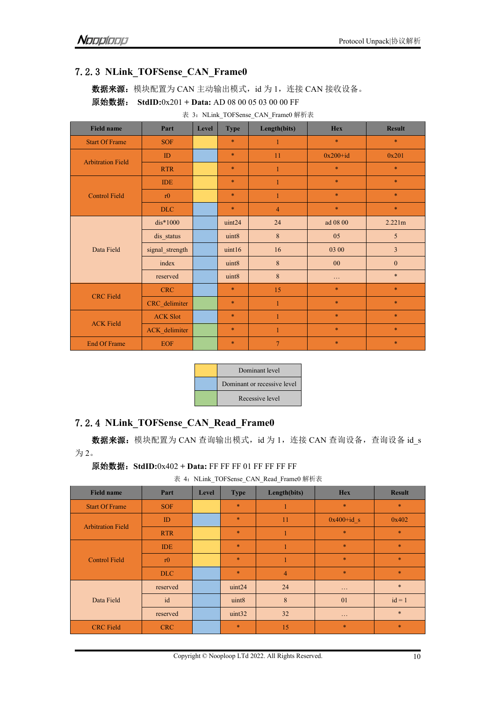### 7.2.3 **NLink\_TOFSense\_CAN\_Frame0**

<span id="page-9-0"></span>数据来源: 模块配置为 CAN 主动输出模式, id 为 1, 连接 CAN 接收设备。 原始数据: **StdID:**0x201 **+ Data:** AD 08 00 05 03 00 00 FF

| <b>Field name</b>        | Part            | Level | <b>Type</b> | Length(bits)   | <b>Hex</b>   | <b>Result</b>    |
|--------------------------|-----------------|-------|-------------|----------------|--------------|------------------|
| <b>Start Of Frame</b>    | <b>SOF</b>      |       | $\ast$      | $\mathbf{1}$   | $\ast$       | $\ast$           |
|                          | ID              |       | $\ast$      | 11             | $0x200 + id$ | 0x201            |
| <b>Arbitration Field</b> | <b>RTR</b>      |       | $\ast$      |                | $\ast$       | $\ast$           |
|                          | <b>IDE</b>      |       | $\ast$      |                | $\ast$       | $\ast$           |
| <b>Control Field</b>     | r0              |       | $\ast$      |                | $\ast$       | $\ast$           |
|                          | DLC             |       | $\ast$      | $\overline{4}$ | $\ast$       | $\ast$           |
|                          | $dis*1000$      |       | uint24      | 24             | ad 08 00     | 2.221m           |
|                          | dis_status      |       | uint8       | $\bf{8}$       | 05           | 5                |
| Data Field               | signal_strength |       | uint16      | 16             | 03 00        | $\mathfrak{Z}$   |
|                          | index           |       | uint8       | $\bf 8$        | $00\,$       | $\boldsymbol{0}$ |
|                          | reserved        |       | uint8       | $\bf 8$        | $\ldots$     | $\ast$           |
| <b>CRC</b> Field         | <b>CRC</b>      |       | $\ast$      | 15             | $\ast$       | $\ast$           |
|                          | CRC_delimiter   |       | $\ast$      | $\mathbf{1}$   | $\ast$       | $\ast$           |
| <b>ACK Field</b>         | <b>ACK Slot</b> |       | $\ast$      | 1              | $\ast$       | $\ast$           |
|                          | ACK_delimiter   |       | $\ast$      |                | $\ast$       | $\ast$           |
| <b>End Of Frame</b>      | <b>EOF</b>      |       | $\ast$      | $\tau$         | $\ast$       | $\ast$           |

 $\pm$  3. NI ink TOFSense CAN Frame0 解析表

| Dominant level              |
|-----------------------------|
| Dominant or recessive level |
| Recessive level             |

### <span id="page-9-1"></span>7.2.4 **NLink\_TOFSense\_CAN\_Read\_Frame0**

数据来源: 模块配置为 CAN 查询输出模式, id 为 1, 连接 CAN 查询设备, 查询设备 id\_s 为 2。

原始数据:**StdID:**0x402 **+ Data:** FF FF FF 01 FF FF FF FF

表 4: NLink TOFSense CAN\_Read Frame0 解析表

| <b>Field name</b>        | Part       | Level | <b>Type</b> | Length(bits)   | <b>Hex</b>           | <b>Result</b> |
|--------------------------|------------|-------|-------------|----------------|----------------------|---------------|
| <b>Start Of Frame</b>    | <b>SOF</b> |       | $\ast$      |                | $\ast$               | $\ast$        |
| <b>Arbitration Field</b> | ID         |       | $\ast$      | 11             | $0x400+id$ s         | 0x402         |
|                          | <b>RTR</b> |       | $\ast$      |                | $\ast$               | $\ast$        |
|                          | <b>IDE</b> |       | $\ast$      |                | $\ast$               | $\ast$        |
| <b>Control Field</b>     | r0         |       | $\ast$      |                | $\ast$               | $\ast$        |
|                          | DLC        |       | $\ast$      | $\overline{4}$ | $\ast$               | $\ast$        |
|                          | reserved   |       | uint24      | 24             | $\sim$ $\sim$ $\sim$ | $\ast$        |
| Data Field               | id         |       | uint8       | $8\phantom{.}$ | 01                   | $id = 1$      |
|                          | reserved   |       | uint32      | 32             | $\ldots$             | $\ast$        |
| <b>CRC</b> Field         | <b>CRC</b> |       | $\ast$      | 15             | $\ast$               | $\ast$        |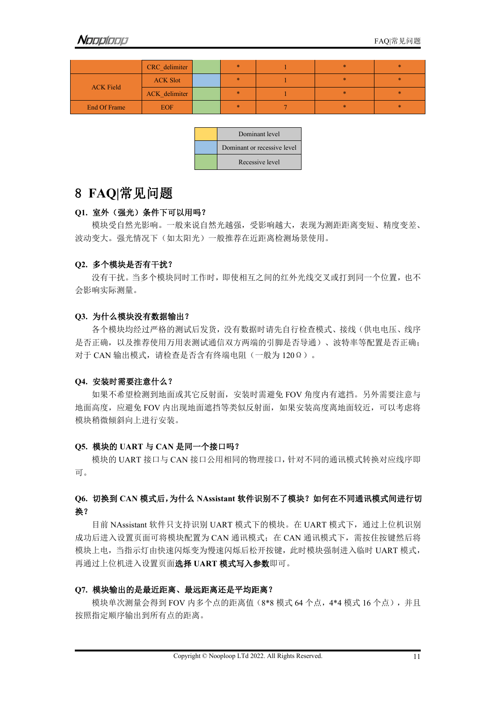|                  | CRC delimiter   | $\ast$ | $\ast$ | $\ast$ |
|------------------|-----------------|--------|--------|--------|
| <b>ACK Field</b> | <b>ACK Slot</b> | ж.     | *      | *      |
|                  | ACK delimiter   |        | *      | *      |
| End Of Frame     | EOF/            | ж.     | ×.     | *      |

| Dominant level              |  |
|-----------------------------|--|
| Dominant or recessive level |  |
| Recessive level             |  |

### <span id="page-10-0"></span>8 **FAQ|**常见问题

#### **Q1.** 室外(强光)条件下可以用吗?

模块受自然光影响。一般来说自然光越强,受影响越大,表现为测距距离变短、精度变差、 波动变大。强光情况下(如太阳光)一般推荐在近距离检测场景使用。

#### **Q2.** 多个模块是否有干扰?

没有干扰。当多个模块同时工作时,即使相互之间的红外光线交叉或打到同一个位置,也不 会影响实际测量。

#### **Q3.** 为什么模块没有数据输出?

各个模块均经过严格的测试后发货,没有数据时请先自行检查模式、接线(供电电压、线序 是否正确,以及推荐使用万用表测试通信双方两端的引脚是否导通)、波特率等配置是否正确; 对于 CAN 输出模式,请检查是否含有终端电阻(一般为 120Ω)。

#### **Q4.** 安装时需要注意什么?

如果不希望检测到地面或其它反射面,安装时需避免 FOV 角度内有遮挡。另外需要注意与 地面高度,应避免 FOV 内出现地面遮挡等类似反射面,如果安装高度离地面较近,可以考虑将 模块稍微倾斜向上进行安装。

### **Q5.** 模块的 **UART** 与 **CAN** 是同一个接口吗?

模块的 UART 接口与 CAN 接口公用相同的物理接口,针对不同的通讯模式转换对应线序即 可。<br>

### **Q6.** 切换到 **CAN** 模式后,为什么 **NAssistant** 软件识别不了模块?如何在不同通讯模式间进行切 **换?**

目前 NAssistant 软件只支持识别 UART 模式下的模块。在 UART 模式下,通过上位机识别 成功后进入设置页面可将模块配置为 CAN 通讯模式;在 CAN 通讯模式下,需按住按键然后将 模块上电,当指示灯由快速闪烁变为慢速闪烁后松开按键,此时模块强制进入临时 UART 模式, 再通过上位机进入设置页面选择 **UART** 模式写入参数即可。

### **Q7.** 模块输出的是最近距离、最远距离还是平均距离?

模块单次测量会得到 FOV 内多个点的距离值(8\*8 模式 64 个点,4\*4 模式 16 个点),并且 按照指定顺序输出到所有点的距离。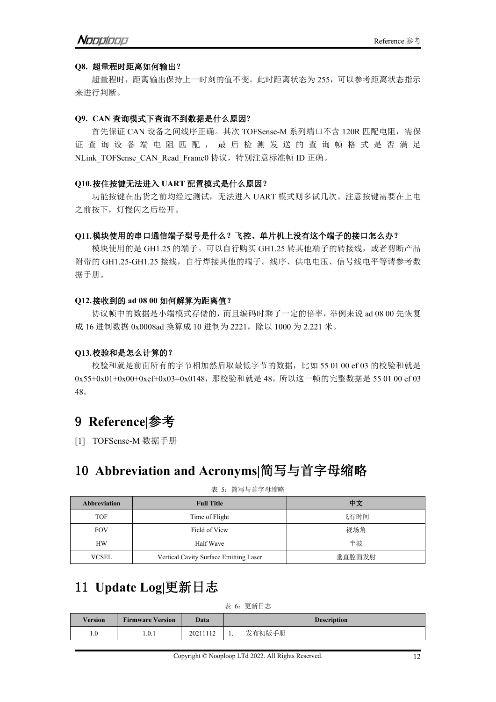#### **Q8.** 超量程时距离如何输出?

超量程时,距离输出保持上一时刻的值不变。此时距离状态为 255,可以参考距离状态指示 来进行判断。

#### **Q9. CAN** 查询模式下查询不到数据是什么原因**?**

首先保证 CAN 设备之间线序正确。其次 TOFSense-M 系列端口不含 120R 匹配电阻, 需保 证 查 询 设 备 端 电 阻 匹 配 , 最 后 检 测 发 送 的 查 询 帧 格 式 是 否 满 足 NLink TOFSense CAN Read Frame0 协议, 特别注意标准帧 ID 正确。

#### **Q10.**按住按键无法进入 **UART** 配置模式是什么原因?

功能按键在出货之前均经过测试,无法进入 UART 模式则多试几次。注意按键需要在上电 之前按下,灯慢闪之后松开。

#### **Q11.**模块使用的串口通信端子型号是什么?飞控、单片机上没有这个端子的接口怎么办?

模块使用的是 GH1.25 的端子。可以自行购买 GH1.25 转其他端子的转接线,或者剪断产品 附带的 GH1.25-GH1.25 接线,自行焊接其他的端子。线序、供电电压、信号线电平等请参考数 据手册。

#### **Q12.**接收到的 **ad 08 00** 如何解算为距离值?

协议帧中的数据是小端模式存储的,而且编码时乘了一定的倍率,举例来说 ad 08 00 先恢复 成 16 进制数据 0x0008ad 换算成 10 进制为 2221, 除以 1000 为 2.221 米。

#### **Q13.**校验和是怎么计算的?

校验和就是前面所有的字节相加然后取最低字节的数据,比如 55 01 00 ef 03 的校验和就是 0x55+0x01+0x00+0xef+0x03=0x0148,那校验和就是 48,所以这一帧的完整数据是 55 01 00 ef 03 48。

### <span id="page-11-0"></span>9 **Reference|**参考

[1] TOFSense-M 数据手册

### <span id="page-11-1"></span>10 **Abbreviation and Acronyms|**简写与首字母缩略

| 衣 ): 间与与目子丏缃眙       |                                        |        |  |  |  |  |
|---------------------|----------------------------------------|--------|--|--|--|--|
| <b>Abbreviation</b> | <b>Full Title</b>                      | 中文     |  |  |  |  |
| <b>TOF</b>          | Time of Flight                         | 飞行时间   |  |  |  |  |
| <b>FOV</b>          | Field of View                          | 视场角    |  |  |  |  |
| <b>HW</b>           | Half Wave                              | 半波     |  |  |  |  |
| <b>VCSEL</b>        | Vertical Cavity Surface Emitting Laser | 垂直腔面发射 |  |  |  |  |

#### 主 2: 答宣巨关章因踪呐

# <span id="page-11-2"></span>11 **Update Log|**更新日志

表 6:更新日志

| <b>Version</b> | <b>Firmware Version</b> | Data     | <b>Description</b> |        |  |
|----------------|-------------------------|----------|--------------------|--------|--|
| 1.0            | 1.0.1                   | 20211112 |                    | 发布初版手册 |  |